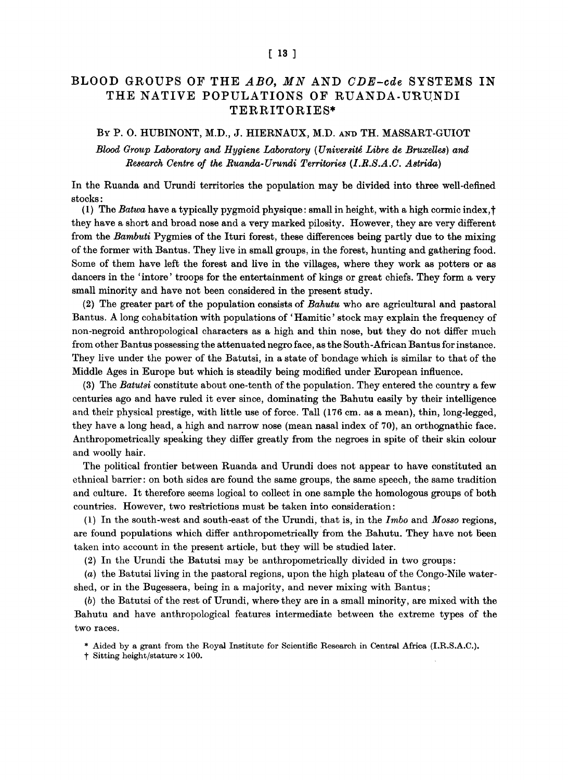### $[13]$

# **BLOOD GROUPS OF THE** *ABO, MN* **AND** *CDE-cde* **SYSTEMS IN THE NATIVE POPULATIONS** OF **RUANDA-UTRQNDI TERRITORIES\***

### BY P. 0. HUBINONT, M.D., J. HIERNAUX, M.D. **AND** TH. MASSART-GUIOT

*Blood Group Laboratory and Hygiene Laboratory (Universitk Libre de Bruxelles) and Research Centre of the Ruanda-Umndi Territories (I.R.S.A.C. Astrida)* 

In the Ruanda and Urundi territories the population may be divided into three well-defined stocks :

(1) The *Batwa* have a typically pygmoid physique: small in height, with a high cormic index, † they have a short and broad nose and a very marked pilosity. However, they are very different from the *Burnbuti* Pygmies of the Ituri forest, these differences being partly due to the mixing of the former with Bantus. They live in small groups, in the forest, hunting and gathering food. Some of them have left the forest and live in the villages, where they work as potters or as dancers in the 'intore' troops for the entertainment of kings or great chiefs. They form a very small minority and have not been considered in the present study.

**(2)** The greater part of the population consists of *Bahutu* who are agricultural and pastoral Bantus. A long cohabitation with populations of 'Hamitic' stock may explain the frequency of non-negroid anthropological characters as a high and thin nose, but they do not differ much from other Bantus possessing the attenuated negro face, as the South-African Bantus for instance. They live under the power of the Batutsi, in a state of bondage which is similar to that of the Middle Ages in Europe but which is steadily being modified under European influence.

*(3)* The *Batutsi* constitute about one-tenth of the population. They entered the country a few centuries ago and have ruled it ever since, dominating the Bahutu easily by their intelligence and their physical prestige, with little use of force. Tall **(176** cm. **as** a mean), thin, long-legged, they have a long head, a high and narrow nose (mean nasal index of **70),** an orthognathic face. Anthropometrically speaking they differ greatly from the negroes in spite of their skin colour and woolly hair.

The political frontier between Ruanda and Urundi does not appear to have constituted an ethnical barrier : on both sides are found the same groups, the same speech, the same tradition and culture. It therefore seems logical to collect in one sample the homologous groups of both countries. However, two restrictions must be taken into consideration :

**(1)** In the south-west and south-east of the Urundi, that is, in the *Imbo* and *Mosso* regions, are found populations which differ anthropometrically from the Bahutu. They have not been taken into account in the present article, but they will be studied later.

**(2)** In the Urundi the Batutsi may be anthropometrically divided in two groups:

*(a)* the Batutsi living in the pastoral regions, upon the high plateau of the Congo-Nile watershed, or in the Bugessera, being in a majority, and never mixing with Bantus;

*(b)* the Batutsi of the rest of Urundi, where they are in a small minority, are mixed with the Bahutu and have anthropological features intermediate between the extreme types of the two races.

\* **Aided by a grant** from **the Royal Institute for Scientific Research in Central Africa (I.R.S.A.C.).** 

t **Sitting height/stature** x **100.**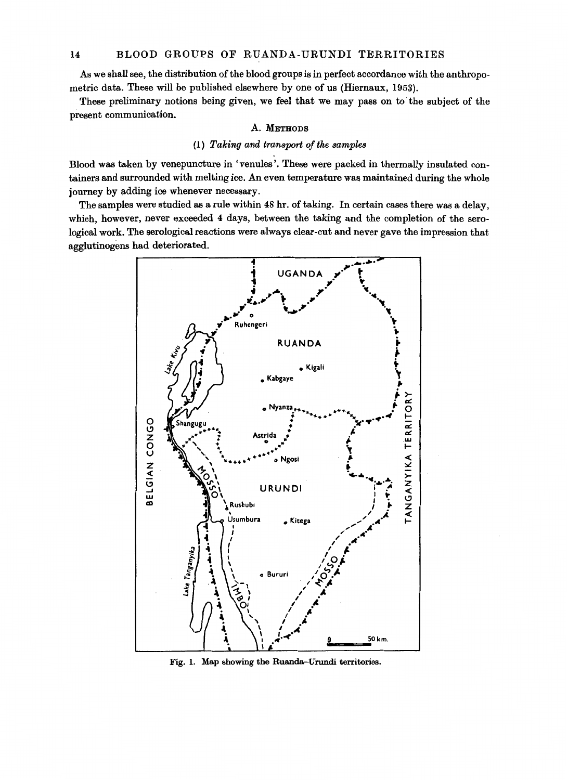As we shall see, the distribution of the blood groups is in perfect accordance with the anthropometric data. These will be published elsewhere by one of us (Hiernaux, **1953).** 

These preliminary notions being given, we feel that we may pass on to the subject of the present communication.

### A. **METHODS**

### (1) *Taking and transport of the samples*

Blood was taken by venepuncture in 'venules'. These were packed in thermally insulated containers and surrounded with melting ice. An even temperature was maintained during the whole journey by adding ice whenever necessary.

The samples were studied as a rule within **48** hr. *of* taking. In certain cases there was **a** delay, which, however, never exceeded **4** days, between the taking and the completion of the serological work. The serological reactions were always clear-cut and never gave the impression that agglutinogens had deteriorated.



Fig. 1. Map showing the Ruanda-Urundi territories.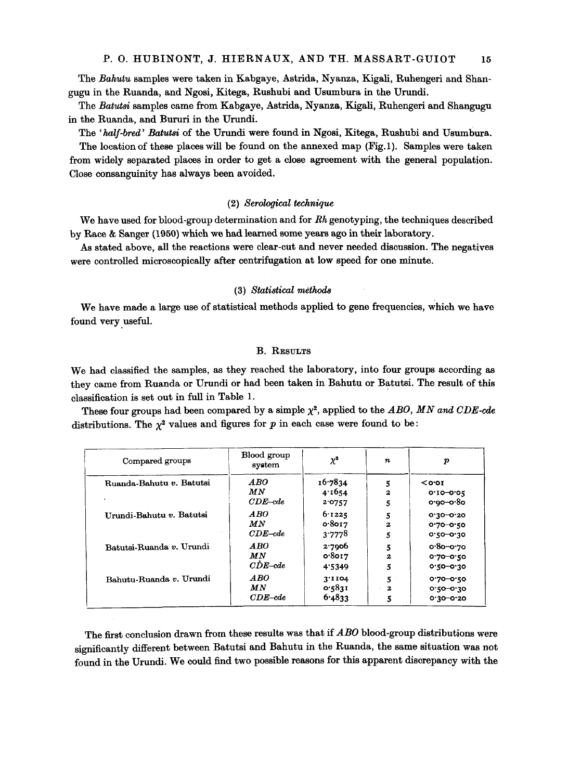The *Buhutu* samples were taken in Kabgaye, Astrida, Nyanea, Kigali, Ruhengeri and Shangugu in the Ruanda, and Ngosi, Kitega, Rushubi and Usumbura in the Urundi.

The *Batutsi* samples came from Kabgaye, Astrida, Nyanza, Kigali, Ruhengeri and Shangugu in the Ruanda, and **Bururi** in the Urundi.

The 'half-bred' *Batutsi* of the Urundi were found in Ngosi, Kitega, Rushubi and Usumbura. The location of these places will be found on the annexed map (Fig. 1). Samples were taken from widely separated places in order to get a close agreement with the general population. Close consanguinity has always been avoided.

### *(2) Serological technique*

We have used for blood-group determination and for *Rh* genotyping, the techniques described by Race & Sanger (1950) which we had learned some years ago in their laboratory.

As stated above, all the reactions were clear-cut and never needed discussion. The negatives were controlled microscopically after centrifugation at low speed for one minute.

#### (3) Statistical methods

We have made a large use of statistical methods applied to gene frequencies, which we have found very useful.

### B. RESULTS

We had classified the samples, as they reached the laboratory, into four groups according as they came from Ruanda or Urundi or had been taken in Bahutu or Batutsi. The result of this classification is set out in full in Table 1.

These four groups had been compared by a simple  $\chi^2$ , applied to the ABO, MN and CDE-cde distributions. The  $\chi^2$  values and figures for  $p$  in each case were found to be:

| Compared groups          | Blood group<br>system       | $\chi^2$ | $\boldsymbol{n}$ | p             |
|--------------------------|-----------------------------|----------|------------------|---------------|
| Ruanda-Bahutu v. Batutsi | ABO                         | 16.7834  | 5                | $<$ 0.01      |
|                          | MN                          | 4.1654   | $\overline{a}$   | $0.10 - 0.05$ |
|                          | $CDE - cde$                 | 2.0757   | 5                | $0.00 - 0.80$ |
| Urundi-Bahutu v. Batutsi | $\overline{ABO}$            | 6.1225   | 5                | $0.30 - 0.50$ |
|                          | MN                          | 0.8017   | 2                | $0.70 - 0.50$ |
|                          | $CDE$ -cde                  | 3.7778   | 5                | $0.50 - 0.30$ |
| Batutsi-Ruanda v. Urundi | ABO                         | 2.7906   | 5                | $0.80 - 0.70$ |
|                          | МN                          | 0.8017   | $\overline{2}$   | $0.70 - 0.50$ |
|                          | $\overrightarrow{CDE}$ -cde | 4:5349   | $\cdot$ 5        | $0.50 - 0.30$ |
| Bahutu-Ruanda v. Urundi  | $\overline{ABO}$            | 3:1104   | 5                | $0.70 - 0.50$ |
|                          | MN                          | 0.5831   | $\mathbf{z}$     | $0.50 - 0.30$ |
|                          | $CDE$ -cde                  | 6.4833   | 5                | $0.30 - 0.50$ |

The first conclusion drawn from these results was that if ABO blood-group distributions were significantly different between Batutsi and Bahutu in the Ruanda, the same situation was not found in the Urundi. We could find two possible reasons for this apparent discrepancy with the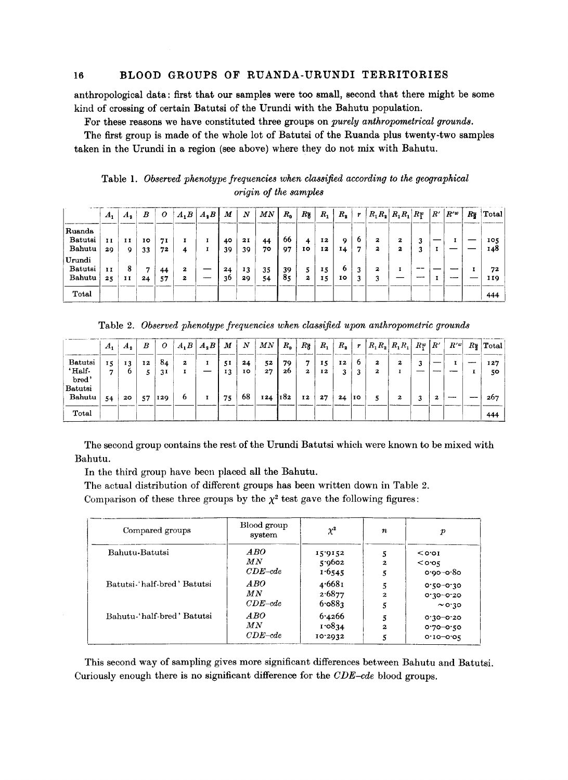### **16** BLOOD GROUPS OF RUANDA-URUNDI TERRITORIES

anthropological data: first that our samples were too small, second that there might be some kind of crossing of certain Batutsi of the Urundi with the Bahutu population.

For these reasons we have constituted three groups on *purely anthropometrical grounds.* 

The fist group is made of the whole lot of Batutsi of the Ruanda plus twenty-two samples taken in the Urundi in a region (see above) where they do not mix with Bahutu.

Table 1. *Observed phenotype frequencies when classified according to the geographical origin* of *the samples* 

|                             |          |               |          |          |        |        |          |                  | .        |          |             |          |          |        |                           |                   |        |    |                |             |            |
|-----------------------------|----------|---------------|----------|----------|--------|--------|----------|------------------|----------|----------|-------------|----------|----------|--------|---------------------------|-------------------|--------|----|----------------|-------------|------------|
|                             | $A_1$    | $A_{\bullet}$ | B        | 0        | A, B   | $A_2B$ | M        | $\boldsymbol{N}$ | MN       | $R_{0}$  | $R_{\rm U}$ | $R_{1}$  | $R_{2}$  | r      | $R_1R_2   R_1R_1   R_1^w$ |                   |        | R' | $R^{\prime w}$ | $R_{\rm F}$ | Total      |
| Ruanda<br>Batutsi<br>Bahutu | 11<br>29 | 11<br>Q       | 10<br>33 | 71<br>72 | 4      |        | 40<br>39 | 2I<br>39         | 44<br>70 | 66<br>97 | 4<br>ΙO     | 12<br>12 | 9.<br>14 | O<br>7 | 2<br>$\mathbf{z}$         | 2<br>$\mathbf{z}$ | 3<br>3 |    |                |             | 105<br>148 |
| Urundi<br>Batutsi<br>Bahutu | IJ<br>25 | 8<br>11       | 7<br>24  | 44<br>57 | 2<br>2 |        | 24<br>36 | 13<br>29         | 35<br>54 | 39<br>85 | 5<br>2      | 15<br>15 | O.<br>10 | 3<br>3 | 2<br>3                    |                   |        |    | ----           |             | 72<br>110  |
| Total                       |          |               |          |          |        |        |          |                  |          |          |             |          |          |        |                           |                   |        |    |                |             | 444        |

Table 2. Observed phenotype frequencies when classified upon anthropometric grounds

|                                   | $A_{1}$ | $A_{2}$ | В  | $\Omega$       | $A_1B$       | $A_2B$ | М  | $\boldsymbol{N}$ | MN  | $R_{\rm o}$ | $R_{0}^{\nu}$  | $R_{1}$ | $R_{2}$ | $\boldsymbol{r}$ | $R_1R_2$     | $R_1R_1$ | $R^{w}$ | R'           | $R^{\prime w}$ |      | $R_2$ Total |
|-----------------------------------|---------|---------|----|----------------|--------------|--------|----|------------------|-----|-------------|----------------|---------|---------|------------------|--------------|----------|---------|--------------|----------------|------|-------------|
| Batutsi                           | 15      | 13      | 12 | 84             | $\mathbf{z}$ | 1      | 51 | 24               | 52  | 79          | 7              | 15      | 12      | 6                | $\mathbf{z}$ | 2        | 3       |              |                | ---- | 127         |
| 'Half-<br>bred'<br><b>Batutsi</b> | 7       | 6       | 5  | 3 <sup>1</sup> | 1            |        | 13 | IO               | 27  | 26          | $\overline{2}$ | 12      | 3       | 3                | 2            |          |         |              |                |      | 50          |
| Bahutu                            | 54      | 20      | 57 | 129            | 6            |        | 75 | 68               | 124 | 182         | 12             | 27      | 24      | ΙO               | 5            | 2        | 3       | $\mathbf{2}$ |                |      | 267         |
| Total                             |         |         |    |                |              |        |    |                  |     |             |                |         |         |                  |              |          |         |              |                |      | 444         |

Bahutu.

In the third group have been placed all the Bahutu.

The actual distribution of different groups has been written down in Table 2. Comparison of these three groups by the  $\chi^2$  test gave the following figures:

| Compared groups             | Blood group<br>system      | $\chi^{\mathbf{2}}$         | п                      | $\pmb{p}$                                       |
|-----------------------------|----------------------------|-----------------------------|------------------------|-------------------------------------------------|
| Bahutu-Batutsi              | ABO<br>MN<br>$CDE - cde$   | 15.9152<br>5.0002<br>1.6545 | 5<br>$\mathbf{z}$<br>5 | $<$ 0.01<br>$<$ 0.05<br>$0.00 - 0.80$           |
| Batutsi-'half-bred' Batutsi | ABO<br>MN<br>$CDE$ -cde    | 4.6681<br>2.6877<br>6.0883  | 2<br>5                 | $0.50 - 0.30$<br>$0.30 - 0.50$<br>$\sim$ 0.30   |
| Bahutu-'half-bred' Batutsi  | ABO<br>MN<br>$CDE\neg cde$ | 6.4266<br>1.0834<br>10.2032 | 5<br>$\mathbf{z}$      | $0.30 - 0.20$<br>$0.70 - 0.50$<br>$0.10 - 0.05$ |

This second way of sampling gives more significant differences between Bahutu and Batutsi. Curiously enough there is no significant difference for the *CDE-cde* blood groups.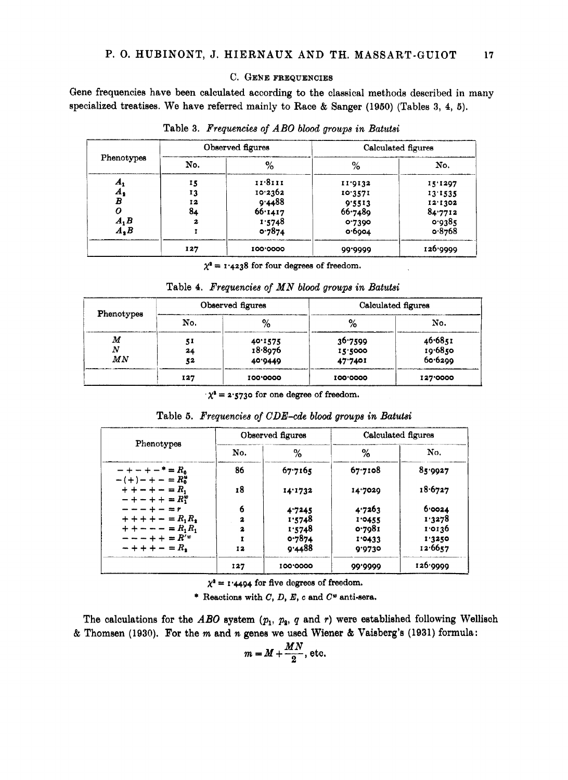## C. GENE FREQUENCIES

Gene frequencies have been calculated according to the classical methods described in many specialized treatises. We have referred mainly to Race & Sanger (1950) (Tables 3, 4, 5).

|                    |     | Observed figures |         | Calculated figures |
|--------------------|-----|------------------|---------|--------------------|
| Phenotypes         | No. | %                | $\%$    | No.                |
| $\boldsymbol{A_1}$ | 15  | 11.8111          | 11.9132 | 15'1297            |
| А,                 | 13  | 10.2362          | 10.3571 | 13.1535            |
| B                  | 12  | 9.4488           | 9.5513  | 12.1302            |
| ο                  | 84  | 66.1417          | 66.7489 | 84.7712            |
| $A_1B$             | 2   | 1.5748           | 0.7390  | 0.9385             |
| A, B               |     | 0.7874           | 0.6004  | 0.8768             |
|                    | 127 | 100'0000         | 99.9999 | 126.9999           |

### Table 3. Frequencies of ABO blood groups in Batutsi

 $\chi^2$  = **1.4238** for four degrees of freedom.

| Table 4. Frequencies of MN blood groups in Batutsi |  |  |  |  |  |  |  |  |
|----------------------------------------------------|--|--|--|--|--|--|--|--|
|----------------------------------------------------|--|--|--|--|--|--|--|--|

| Phenotypes |                | Observed figures              |                               | Calculated figures            |
|------------|----------------|-------------------------------|-------------------------------|-------------------------------|
|            | No.            | 70                            | $\mathbf{o}$                  | No.                           |
| М<br>MN    | 51<br>24<br>52 | 40.1575<br>18.8976<br>40.9449 | 36.7599<br>15.5000<br>47.7401 | 46.6851<br>19.6850<br>60.6299 |
|            | 127            | 100'0000                      | 100'0000                      | 127.0000                      |

 $\chi^2 = 2.5730$  for one degree of freedom.

|                                                |        | Observed figures |                  | Calculated figures |
|------------------------------------------------|--------|------------------|------------------|--------------------|
| Phenotypes                                     | No.    | %                | %                | No.                |
| $- + - + - - = R_0$                            | 86     | 67.7165          | 67.7108          | 85.0027            |
| $-(+)$ – + – = $R_0^*$<br>$+ + - + - = R$      | 18     | 14.1732          | 14.7029          | 18.6727            |
| $- + - + + = R_1^w$<br>$- - - + - = r$         | 6      | 4.7245           | 4.7263           | 6.0024             |
| $+ + + + - = R_1 R_2$<br>$+ + - - - = R_1 R_1$ | 2<br>2 | 1.5748<br>1:5748 | 1.0455<br>0.7081 | 1:3278<br>1.0136   |
| $--- + + = R'{}^w$                             |        | 0.7874           | 1.0433           | 1.3250             |
| $- + + + - = R_2$                              | 12     | 9.4488           | 9.9730           | 12.6657            |
|                                                | 127    | 100'0000         | 99'9999          | 126.9999           |

### Table 5. Frequencies of CDE-cde blood groups in Batutsi

\* Reactions with  $C, D, E$ , c and  $C^w$  anti-sera.

The calculations for the *ABO* system  $(p_1, p_2, q$  and *r*) were established following Wellisch & **Thornsen (1930). For the** *m* **and n genes we used Wiener** & **Vaisberg's (1931) formula:** 

$$
m = M + \frac{MN}{2}
$$
, etc.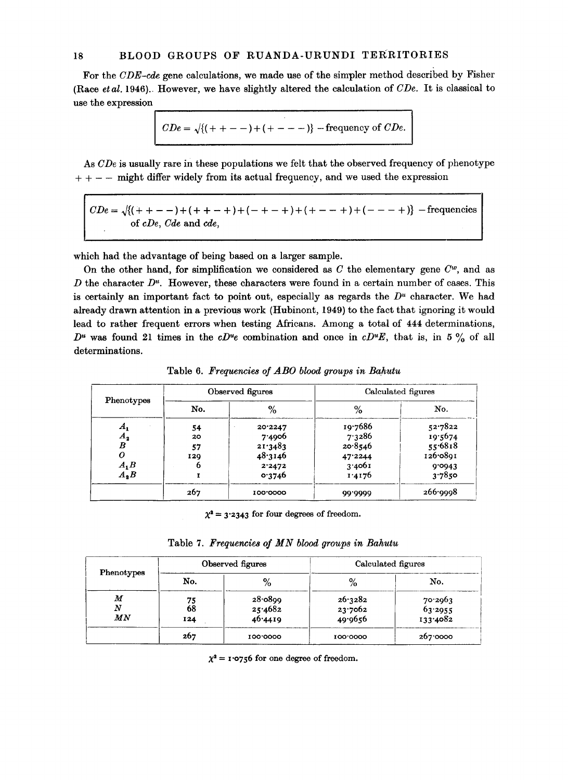For the *CDE-cde* gene calculations, we made use of the simpler method described by Fisher (Race *et al.* **1946)..** However, we have slightly altered the calculation of *CDe.* It is classical to use the expression

$$
CDe = \sqrt{\{(++--)+(+---)\}} - \text{frequency of } CDe.
$$

As *CDe* is usually rare in these populations we felt that the observed frequency of phenotype  $+ + -$  - might differ widely from its actual frequency, and we used the expression

$$
CDe = \sqrt{\{(++--)+(++-+)+(-+-+)+((---+)+(---+)\} - \text{frequencies of } cDe, \text{ } Cde \text{ and } cde,
$$

which had the advantage of being based on a larger sample.

On the other hand, for simplification we considered as  $C$  the elementary gene  $C^w$ , and as *D* the character  $D^u$ . However, these characters were found in a certain number of cases. This is certainly an important fact to point out, especially as regards the  $D^u$  character. We had already drawn attention in a previous work (Hubinont, **1949)** to the fact that ignoring it would lead to rather frequent errors when testing Africans. Among a total of **444** determinations,  $D^u$  was found 21 times in the *cD<sup>u</sup>e* combination and once in *cD<sup>u</sup>E*, that is, in 5% of all determinations.

|              |     | Observed figures |         | Calculated figures |
|--------------|-----|------------------|---------|--------------------|
| Phenotypes   | No. | %                | $\%$    | No.                |
| $A_{1}$      | 54  | 20.2247          | 19.7686 | 52.7822            |
| $A_{\bf{2}}$ | 20  | 7.4906           | 7.3286  | 19.5674            |
| B            | 57  | 21.3483          | 20.8546 | 55.6818            |
| ο            | 129 | 48.3146          | 47.2244 | 126.0891           |
| $A_1B$       | 6   | 2.2472           | 3.4061  | 9'0943             |
| $A_{2}B$     |     | 0.3746           | 1.4176  | 3.7850             |
|              | 267 | 100'0000         | 99.9999 | 266.9998           |

Table 6. *Frequencies of ABO blood groups in Bahutu* 

 $\chi^2$  = 3.2343 for four degrees of freedom.

Table **7.** *Frequencies of MN blood groups in Bahutu* 

|            |                 | Observed figures              | Calculated figures            |                                |
|------------|-----------------|-------------------------------|-------------------------------|--------------------------------|
| Phenotypes | No.             | %                             | %                             | No.                            |
| М<br>MN    | 75<br>68<br>124 | 28.0899<br>25.4682<br>46.4419 | 26.3282<br>23.7062<br>49.9656 | 70.2963<br>63.2955<br>133.4082 |
|            | 267             | 100.0000                      | 100.0000                      | 267.0000                       |

 $\chi^2$  = **1.0756** for one degree of freedom.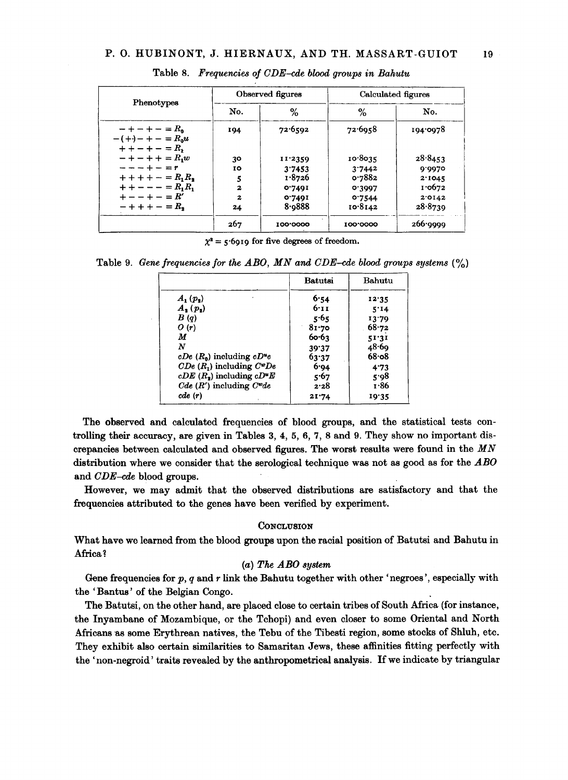|                                             |                              | Observed figures |                  | Calculated figures |
|---------------------------------------------|------------------------------|------------------|------------------|--------------------|
| Phenotypes                                  | No.                          | %                | %                | No.                |
| $- + - + - = R_0$<br>$-(+)$ - + - = $R_0 u$ | 194                          | 72.6592          | 72.6958          | 194.0978           |
| $+ + - + - = R$<br>$- + - + + = R_1w$       | 30                           | 11'2359          | 10.8035          | 28.8453            |
| $- - - + - = r$<br>$+ + + + - = R_1 R_2$    | 10<br>5                      | 3.7453<br>1.8726 | 3.7442<br>0.7882 | 9.9970<br>2.1045   |
| $+ + - - - = R_1 R_1$<br>$+ - - + - = R'$   | $\overline{\mathbf{z}}$<br>2 | 0.749I<br>0.7491 | 0.3997<br>0.7544 | 1.0672<br>2'0142   |
| $- + + + - = R_s$                           | 24                           | 8.0888           | 10.8142          | 28.8739            |
|                                             | 267                          | 100.0000         | 100.0000         | 266.9999           |

Table 8. Frequencies of CDE-cde blood groups in Bahutu

 $\chi^2$  = 5.6919 for five degrees of freedom.

Table 9. Gene frequencies for the ABO, MN and CDE-cde blood groups systems  $\binom{0}{0}$ 

|                                    | Batutsi | Bahutu |
|------------------------------------|---------|--------|
| $A_1(p_2)$                         | 6.54    | 12.35  |
| $A_{2}(p_{2})$                     | 6.11    | 5.14   |
| B(q)                               | 5.65    | 13.79  |
| O(r)                               | 81.70   | 68.72  |
| M                                  | 60.63   | 51.31  |
| N                                  | 39.37   | 48.69  |
| $cDe(R_0)$ including $cD^*e$       | 63.37   | 68.08  |
| $CDe(R_1)$ including $C^wDe$       | 6.94    | 4.73   |
| $cDE(R_2)$ including $cD^*E$       | 5.67    | 5.98   |
| $Cde(R')$ including $C^{\omega}de$ | 2.28    | 1∙86   |
| cde(r)                             | 21.74   | 19.35  |

The observed and calculated frequencies of blood groups, and the statistical tests controlling their accuracy, are given in Tables 3, **4, 6,** 6, **7,** & and **9.** They show no important discrepancies between calculated and observed figures. The worst results were found in the  $MN$ distribution where we consider that the serological technique was not as good as for the *ABO* and *CDE-cde* blood groups.

However, we may admit that the observed distributions are satisfactory and that the frequencies attributed to the genes have been verified by experiment.

### **CONCLUSION**

What have we learned from the blood groups upon the racial position of Batutsi and Bahutu in Africa?

## *(a) The ABO system*

Gene frequencies for p, *q* and *r* link the Bahutu together with other 'negroes', especially with the 'Bantus' of the Belgian Congo.

The Batutsi, on the other hand, are placed close to certain tribes of South Africa (for instance, the Inyambane of Mozambique, or the Tchopi) and even closer to some Oriental and North Africans as some Erythrean natives, the Tebu of the Tibesti region, some stocks of Shluh, etc. They exhibit also certain similarities to Samaritan Jews, these affinities fitting perfectly with the 'non-negroid' traits revealed by the anthropometrical analysis. If we indicate by triangular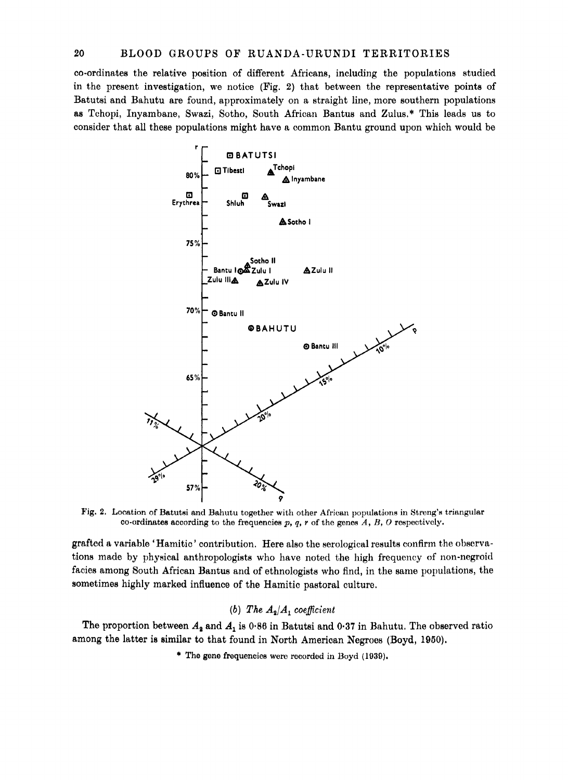co-ordinates the relative position of different Africans, including the populations studied in the present investigation, we notice (Fig. **2)** that between the representative points of Batutsi and Bahutu are found, approximately on a straight line, more southern populations as Tchopi, Inyambane, Swazi, Sotho, South African Bantus and Zulus.\* This leads us to consider that all these populations might have a common Bantu ground upon which would be



Fig. 2. Location of Batutsi and Bahutu together with other African populations in Streng's triangular co-ordinates according to the frequencies  $p$ ,  $q$ ,  $r$  of the genes  $A$ ,  $B$ ,  $O$  respectively.

grafted a variable 'Hamitic' contribution. Here also the serological results confirm the observations made by physical anthropologists who have noted the high frequency of non-negroid facies among South African Bantus and of ethnologists who find, in the same populations, the sometimes highly marked influence of the Hamitic pastoral culture.

### (b) The  $A_2/A_1$  coefficient

The proportion between  $A_2$  and  $A_1$  is 0.86 in Batutsi and 0.37 in Bahutu. The observed ratio among the latter is similar to that found in North American Negroes **(Boyd, 1960).** 

\* **The gene frequencies were recorded** in **Boyd (1039).**